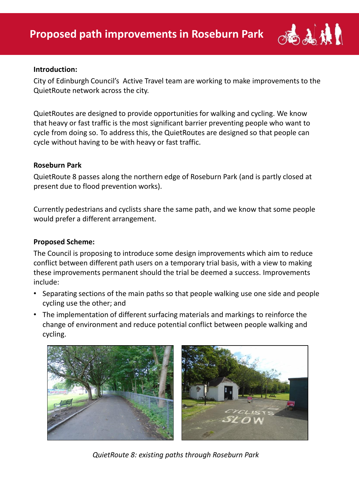

#### **Introduction:**

City of Edinburgh Council's Active Travel team are working to make improvements to the QuietRoute network across the city.

QuietRoutes are designed to provide opportunities for walking and cycling. We know that heavy or fast traffic is the most significant barrier preventing people who want to cycle from doing so. To address this, the QuietRoutes are designed so that people can cycle without having to be with heavy or fast traffic.

### **Roseburn Park**

QuietRoute 8 passes along the northern edge of Roseburn Park (and is partly closed at present due to flood prevention works).

Currently pedestrians and cyclists share the same path, and we know that some people would prefer a different arrangement.

### **Proposed Scheme:**

The Council is proposing to introduce some design improvements which aim to reduce conflict between different path users on a temporary trial basis, with a view to making these improvements permanent should the trial be deemed a success. Improvements include:

- Separating sections of the main paths so that people walking use one side and people cycling use the other; and
- The implementation of different surfacing materials and markings to reinforce the change of environment and reduce potential conflict between people walking and cycling.



*QuietRoute 8: existing paths through Roseburn Park*